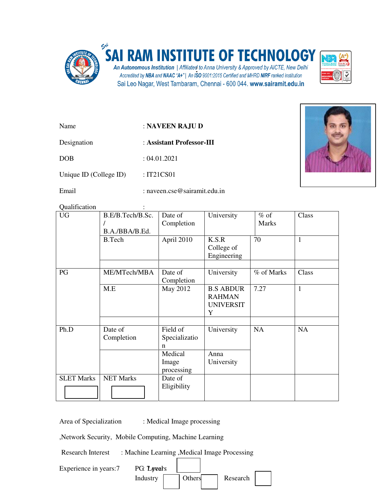

## **SAI RAM INSTITUTE OF TECHNOLOGY**

An Autonomous Institution | Affiliated to Anna University & Approved by AICTE, New Delhi Accredited by NBA and NAAC "A+" | An ISO 9001:2015 Certified and MHRD NIRF ranked institution Sai Leo Nagar, West Tambaram, Chennai - 600 044. www.sairamit.edu.in



| Name                   | : NAVEEN RAJU D           |  |
|------------------------|---------------------------|--|
| Designation            | : Assistant Professor-III |  |
| <b>DOB</b>             | : 04.01.2021              |  |
| Unique ID (College ID) | : IT21CS01                |  |



Email : naveen.cse@sairamit.edu.in

Qualification :

| <b>UG</b>         | B.E/B.Tech/B.Sc.<br>B.A./BBA/B.Ed. | Date of<br>Completion          | University                                                 | $%$ of<br><b>Marks</b> | Class        |
|-------------------|------------------------------------|--------------------------------|------------------------------------------------------------|------------------------|--------------|
|                   | <b>B.Tech</b>                      | April 2010                     | K.S.R<br>College of<br>Engineering                         | 70                     | $\mathbf{1}$ |
| PG                | ME/MTech/MBA                       | Date of<br>Completion          | University                                                 | % of Marks             | Class        |
|                   | M.E                                | May 2012                       | <b>B.S ABDUR</b><br><b>RAHMAN</b><br><b>UNIVERSIT</b><br>Y | 7.27                   | 1            |
| Ph.D              | Date of<br>Completion              | Field of<br>Specializatio<br>n | University                                                 | <b>NA</b>              | <b>NA</b>    |
|                   |                                    | Medical<br>Image<br>processing | Anna<br>University                                         |                        |              |
| <b>SLET Marks</b> | <b>NET Marks</b>                   | Date of<br>Eligibility         |                                                            |                        |              |

Area of Specialization : Medical Image processing

,Network Security, Mobile Computing, Machine Learning

Research Interest : Machine Learning , Medical Image Processing

| Experience in years:7 | PG: Lyvears |        |          |  |
|-----------------------|-------------|--------|----------|--|
|                       | Industry    | Others | Research |  |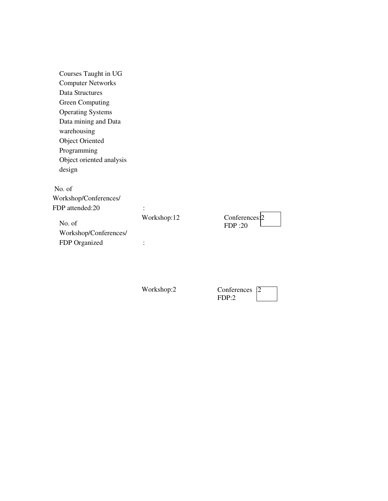| Courses Taught in UG     |             |                |
|--------------------------|-------------|----------------|
| <b>Computer Networks</b> |             |                |
| Data Structures          |             |                |
| <b>Green Computing</b>   |             |                |
| <b>Operating Systems</b> |             |                |
| Data mining and Data     |             |                |
| warehousing              |             |                |
| <b>Object Oriented</b>   |             |                |
| Programming              |             |                |
| Object oriented analysis |             |                |
| design                   |             |                |
| No. of                   |             |                |
| Workshop/Conferences/    |             |                |
| FDP attended:20          | ٠           |                |
|                          | Workshop:12 | Conferences: 2 |
| No. of                   |             | <b>FDP:20</b>  |
| Workshop/Conferences/    |             |                |
| FDP Organized            |             |                |
|                          |             |                |

Workshop:2

| Conferences |  |
|-------------|--|
| FDP:2       |  |